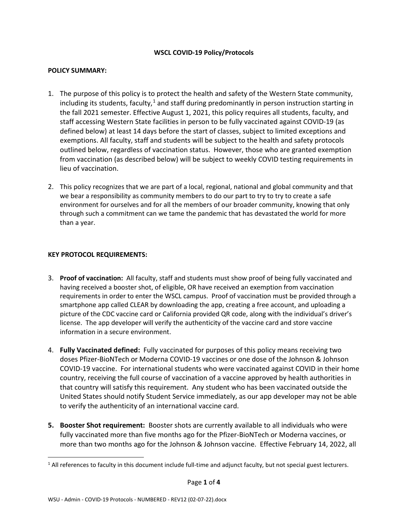## **WSCL COVID-19 Policy/Protocols**

## **POLICY SUMMARY:**

- 1. The purpose of this policy is to protect the health and safety of the Western State community, including its students, faculty, $1$  and staff during predominantly in person instruction starting in the fall 2021 semester. Effective August 1, 2021, this policy requires all students, faculty, and staff accessing Western State facilities in person to be fully vaccinated against COVID-19 (as defined below) at least 14 days before the start of classes, subject to limited exceptions and exemptions. All faculty, staff and students will be subject to the health and safety protocols outlined below, regardless of vaccination status. However, those who are granted exemption from vaccination (as described below) will be subject to weekly COVID testing requirements in lieu of vaccination.
- 2. This policy recognizes that we are part of a local, regional, national and global community and that we bear a responsibility as community members to do our part to try to try to create a safe environment for ourselves and for all the members of our broader community, knowing that only through such a commitment can we tame the pandemic that has devastated the world for more than a year.

### **KEY PROTOCOL REQUIREMENTS:**

- 3. **Proof of vaccination:** All faculty, staff and students must show proof of being fully vaccinated and having received a booster shot, of eligible, OR have received an exemption from vaccination requirements in order to enter the WSCL campus. Proof of vaccination must be provided through a smartphone app called CLEAR by downloading the app, creating a free account, and uploading a picture of the CDC vaccine card or California provided QR code, along with the individual's driver's license. The app developer will verify the authenticity of the vaccine card and store vaccine information in a secure environment.
- 4. **Fully Vaccinated defined:** Fully vaccinated for purposes of this policy means receiving two doses Pfizer-BioNTech or Moderna COVID-19 vaccines or one dose of the Johnson & Johnson COVID-19 vaccine. For international students who were vaccinated against COVID in their home country, receiving the full course of vaccination of a vaccine approved by health authorities in that country will satisfy this requirement. Any student who has been vaccinated outside the United States should notify Student Service immediately, as our app developer may not be able to verify the authenticity of an international vaccine card.
- **5. Booster Shot requirement:** Booster shots are currently available to all individuals who were fully vaccinated more than five months ago for the Pfizer-BioNTech or Moderna vaccines, or more than two months ago for the Johnson & Johnson vaccine. Effective February 14, 2022, all

<span id="page-0-0"></span><sup>&</sup>lt;sup>1</sup> All references to faculty in this document include full-time and adjunct faculty, but not special guest lecturers.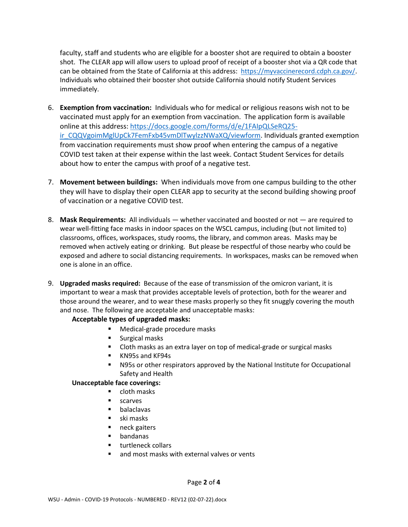faculty, staff and students who are eligible for a booster shot are required to obtain a booster shot. The CLEAR app will allow users to upload proof of receipt of a booster shot via a QR code that can be obtained from the State of California at this address: [https://myvaccinerecord.cdph.ca.gov/.](https://myvaccinerecord.cdph.ca.gov/) Individuals who obtained their booster shot outside California should notify Student Services immediately.

- 6. **Exemption from vaccination:** Individuals who for medical or religious reasons wish not to be vaccinated must apply for an exemption from vaccination. The application form is available online at this address: [https://docs.google.com/forms/d/e/1FAIpQLSeRQ25](https://docs.google.com/forms/d/e/1FAIpQLSeRQ25-ir_CQQVgoimMglUpCk7FemFxb45vmDlTwylzzNWaXQ/viewform) [ir\\_CQQVgoimMglUpCk7FemFxb45vmDlTwylzzNWaXQ/viewform.](https://docs.google.com/forms/d/e/1FAIpQLSeRQ25-ir_CQQVgoimMglUpCk7FemFxb45vmDlTwylzzNWaXQ/viewform) Individuals granted exemption from vaccination requirements must show proof when entering the campus of a negative COVID test taken at their expense within the last week. Contact Student Services for details about how to enter the campus with proof of a negative test.
- 7. **Movement between buildings:** When individuals move from one campus building to the other they will have to display their open CLEAR app to security at the second building showing proof of vaccination or a negative COVID test.
- 8. **Mask Requirements:** All individuals whether vaccinated and boosted or not are required to wear well-fitting face masks in indoor spaces on the WSCL campus, including (but not limited to) classrooms, offices, workspaces, study rooms, the library, and common areas. Masks may be removed when actively eating or drinking. But please be respectful of those nearby who could be exposed and adhere to social distancing requirements. In workspaces, masks can be removed when one is alone in an office.
- 9. **Upgraded masks required:** Because of the ease of transmission of the omicron variant, it is important to wear a mask that provides acceptable levels of protection, both for the wearer and those around the wearer, and to wear these masks properly so they fit snuggly covering the mouth and nose. The following are acceptable and unacceptable masks:

## **Acceptable types of upgraded masks:**

- Medical-grade procedure masks
- **Surgical masks**
- Cloth masks as an extra layer on top of medical-grade or surgical masks
- **KN95s and KF94s**
- N95s or other respirators approved by the National Institute for Occupational Safety and Health

## **Unacceptable face coverings:**

- **u** cloth masks
- **scarves**
- **•** balaclavas
- $\blacksquare$  ski masks
- neck gaiters
- bandanas
- **turtleneck collars**
- and most masks with external valves or vents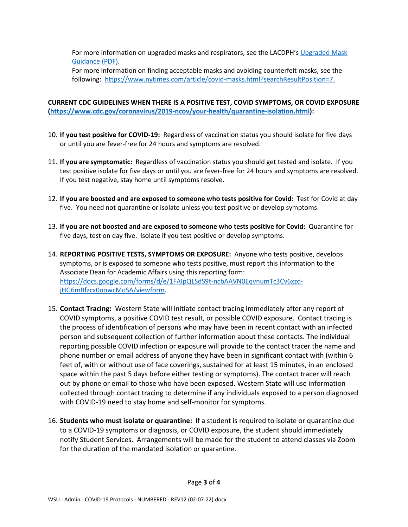For more information on upgraded masks and respirators, see the LACDPH's [Upgraded Mask](http://www.publichealth.lacounty.gov/media/Coronavirus/docs/business/UpgradeMaskRequirement.pdf)  [Guidance \(PDF\).](http://www.publichealth.lacounty.gov/media/Coronavirus/docs/business/UpgradeMaskRequirement.pdf)

For more information on finding acceptable masks and avoiding counterfeit masks, see the following: [https://www.nytimes.com/article/covid-masks.html?searchResultPosition=7.](https://www.nytimes.com/article/covid-masks.html?searchResultPosition=7)

# **CURRENT CDC GUIDELINES WHEN THERE IS A POSITIVE TEST, COVID SYMPTOMS, OR COVID EXPOSURE [\(https://www.cdc.gov/coronavirus/2019-ncov/your-health/quarantine-isolation.html\)](https://www.cdc.gov/coronavirus/2019-ncov/your-health/quarantine-isolation.html):**

- 10. **If you test positive for COVID-19:** Regardless of vaccination status you should isolate for five days or until you are fever-free for 24 hours and symptoms are resolved.
- 11. **If you are symptomatic:** Regardless of vaccination status you should get tested and isolate. If you test positive isolate for five days or until you are fever-free for 24 hours and symptoms are resolved. If you test negative, stay home until symptoms resolve.
- 12. **If you are boosted and are exposed to someone who tests positive for Covid:** Test for Covid at day five. You need not quarantine or isolate unless you test positive or develop symptoms.
- 13. **If you are not boosted and are exposed to someone who tests positive for Covid:** Quarantine for five days, test on day five. Isolate if you test positive or develop symptoms.
- 14. **REPORTING POSITIVE TESTS, SYMPTOMS OR EXPOSURE:** Anyone who tests positive, develops symptoms, or is exposed to someone who tests positive, must report this information to the Associate Dean for Academic Affairs using this reporting form: [https://docs.google.com/forms/d/e/1FAIpQLSdS9t-ncbAAVN0EqvnumTc3Cv6xzd](https://docs.google.com/forms/d/e/1FAIpQLSdS9t-ncbAAVN0EqvnumTc3Cv6xzd-jHG6mBfzcx0oowcMoSA/viewform)[jHG6mBfzcx0oowcMoSA/viewform.](https://docs.google.com/forms/d/e/1FAIpQLSdS9t-ncbAAVN0EqvnumTc3Cv6xzd-jHG6mBfzcx0oowcMoSA/viewform)
- 15. **Contact Tracing:** Western State will initiate contact tracing immediately after any report of COVID symptoms, a positive COVID test result, or possible COVID exposure. Contact tracing is the process of identification of persons who may have been in recent contact with an infected person and subsequent collection of further information about these contacts. The individual reporting possible COVID infection or exposure will provide to the contact tracer the name and phone number or email address of anyone they have been in significant contact with (within 6 feet of, with or without use of face coverings, sustained for at least 15 minutes, in an enclosed space within the past 5 days before either testing or symptoms). The contact tracer will reach out by phone or email to those who have been exposed. Western State will use information collected through contact tracing to determine if any individuals exposed to a person diagnosed with COVID-19 need to stay home and self-monitor for symptoms.
- 16. **Students who must isolate or quarantine:** If a student is required to isolate or quarantine due to a COVID-19 symptoms or diagnosis, or COVID exposure, the student should immediately notify Student Services. Arrangements will be made for the student to attend classes via Zoom for the duration of the mandated isolation or quarantine.